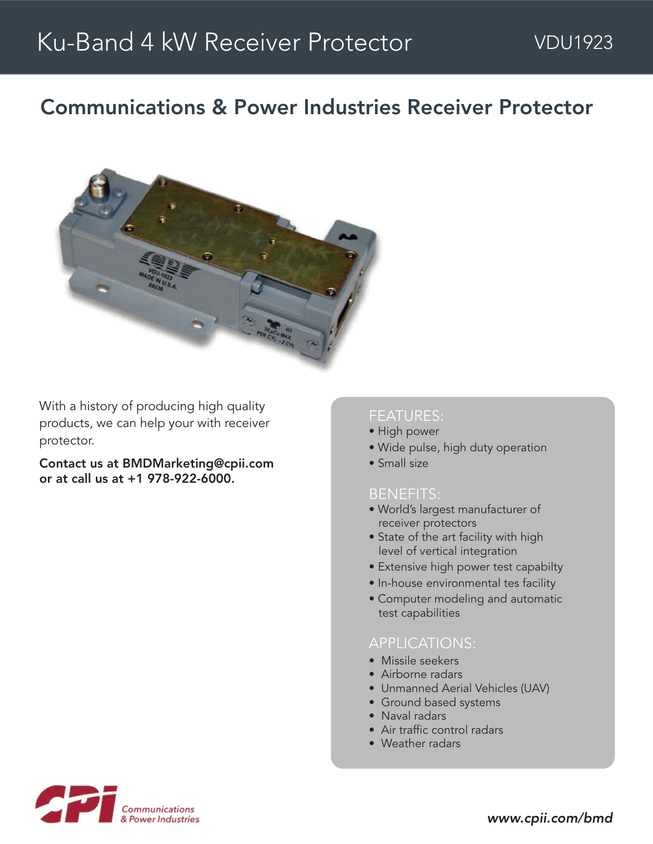# Communications & Power Industries Receiver Protector



With a history of producing high quality products, we can help your with receiver protector.

Contact us at BMDMarketing@cpii.com or at call us at +1 978-922-6000.

#### FEATURES:

- High power
- Wide pulse, high duty operation
- Small size

#### BENEFITS:

- World's largest manufacturer of receiver protectors
- State of the art facility with high level of vertical integration
- Extensive high power test capabilty
- In-house environmental tes facility
- Computer modeling and automatic test capabilities

#### APPLICATIONS:

- Missile seekers
- Airborne radars
- Unmanned Aerial Vehicles (UAV)
- Ground based systems
- Naval radars
- Air traffic control radars
- Weather radars